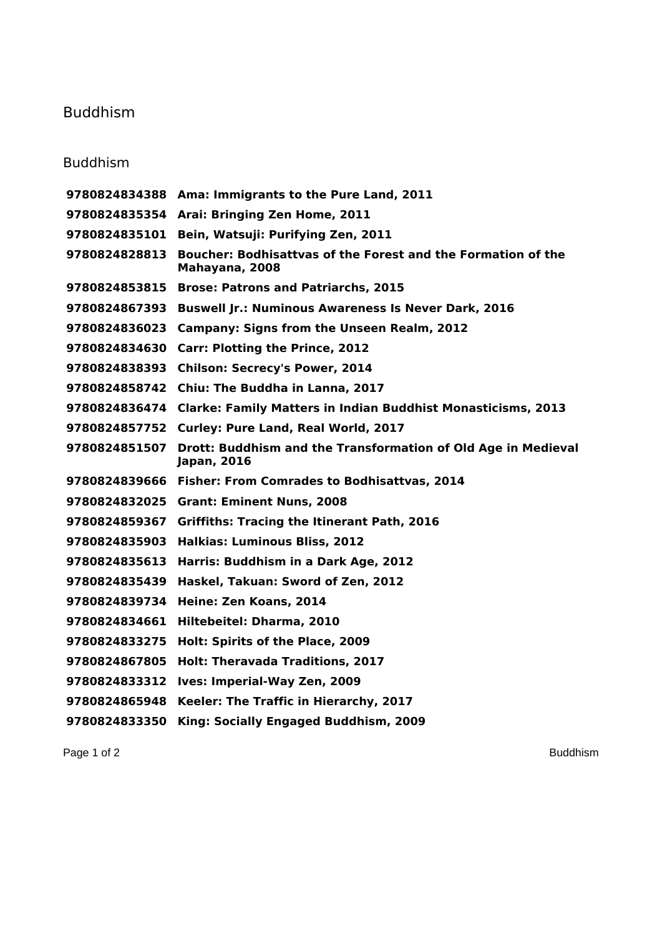## Buddhism

## Buddhism

|               | 9780824834388 Ama: Immigrants to the Pure Land, 2011                           |
|---------------|--------------------------------------------------------------------------------|
|               | 9780824835354 Arai: Bringing Zen Home, 2011                                    |
| 9780824835101 | Bein, Watsuji: Purifying Zen, 2011                                             |
| 9780824828813 | Boucher: Bodhisattvas of the Forest and the Formation of the<br>Mahayana, 2008 |
| 9780824853815 | <b>Brose: Patrons and Patriarchs, 2015</b>                                     |
| 9780824867393 | <b>Buswell Jr.: Numinous Awareness Is Never Dark, 2016</b>                     |
| 9780824836023 | <b>Campany: Signs from the Unseen Realm, 2012</b>                              |
| 9780824834630 | <b>Carr: Plotting the Prince, 2012</b>                                         |
|               | 9780824838393 Chilson: Secrecy's Power, 2014                                   |
| 9780824858742 | Chiu: The Buddha in Lanna, 2017                                                |
| 9780824836474 | <b>Clarke: Family Matters in Indian Buddhist Monasticisms, 2013</b>            |
| 9780824857752 | Curley: Pure Land, Real World, 2017                                            |
| 9780824851507 | Drott: Buddhism and the Transformation of Old Age in Medieval<br>Japan, 2016   |
|               | 9780824839666 Fisher: From Comrades to Bodhisattvas, 2014                      |
|               | 9780824832025 Grant: Eminent Nuns, 2008                                        |
| 9780824859367 | <b>Griffiths: Tracing the Itinerant Path, 2016</b>                             |
| 9780824835903 | <b>Halkias: Luminous Bliss, 2012</b>                                           |
| 9780824835613 | Harris: Buddhism in a Dark Age, 2012                                           |
| 9780824835439 | Haskel, Takuan: Sword of Zen, 2012                                             |
| 9780824839734 | Heine: Zen Koans, 2014                                                         |
| 9780824834661 | Hiltebeitel: Dharma, 2010                                                      |
| 9780824833275 | Holt: Spirits of the Place, 2009                                               |
| 9780824867805 | <b>Holt: Theravada Traditions, 2017</b>                                        |
| 9780824833312 | Ives: Imperial-Way Zen, 2009                                                   |
| 9780824865948 | Keeler: The Traffic in Hierarchy, 2017                                         |
| 9780824833350 | King: Socially Engaged Buddhism, 2009                                          |

Page 1 of 2 Buddhism